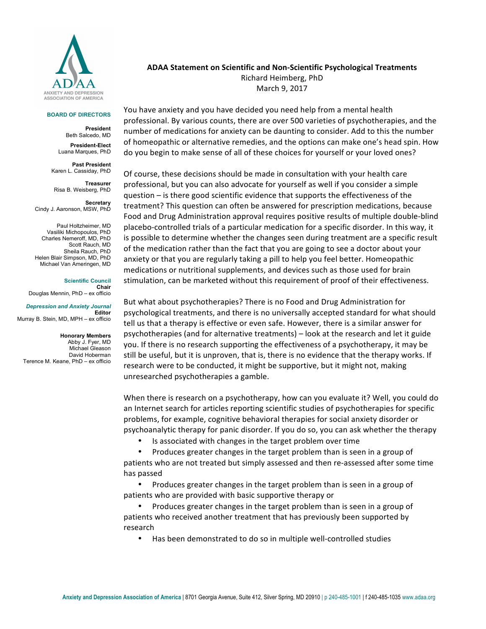

## **BOARD OF DIRECTORS**

**President** Beth Salcedo, MD **President-Elect** Luana Marques, PhD

**Past President** Karen L. Cassiday, PhD

**Treasurer** Risa B. Weisberg, PhD

**Secretary**  Cindy J. Aaronson, MSW, PhD

Paul Holtzheimer, MD Vasiliki Michopoulos, PhD Charles Nemeroff, MD, PhD Scott Rauch, MD Sheila Rauch, PhD Helen Blair Simpson, MD, PhD Michael Van Ameringen, MD

**Scientific Council Chair** Douglas Mennin, PhD – ex officio

*Depression and Anxiety Journal* **Editor** Murray B. Stein, MD, MPH – ex officio

**Honorary Members** Abby J. Fyer, MD Michael Gleason David Hoberman Terence M. Keane, PhD – ex officio **ADAA Statement on Scientific and Non-Scientific Psychological Treatments** Richard Heimberg, PhD March 9, 2017

You have anxiety and you have decided you need help from a mental health professional. By various counts, there are over 500 varieties of psychotherapies, and the number of medications for anxiety can be daunting to consider. Add to this the number of homeopathic or alternative remedies, and the options can make one's head spin. How do you begin to make sense of all of these choices for yourself or your loved ones?

Of course, these decisions should be made in consultation with your health care professional, but you can also advocate for yourself as well if you consider a simple question  $-$  is there good scientific evidence that supports the effectiveness of the treatment? This question can often be answered for prescription medications, because Food and Drug Administration approval requires positive results of multiple double-blind placebo-controlled trials of a particular medication for a specific disorder. In this way, it is possible to determine whether the changes seen during treatment are a specific result of the medication rather than the fact that you are going to see a doctor about your anxiety or that you are regularly taking a pill to help you feel better. Homeopathic medications or nutritional supplements, and devices such as those used for brain stimulation, can be marketed without this requirement of proof of their effectiveness.

But what about psychotherapies? There is no Food and Drug Administration for psychological treatments, and there is no universally accepted standard for what should tell us that a therapy is effective or even safe. However, there is a similar answer for psychotherapies (and for alternative treatments) – look at the research and let it guide you. If there is no research supporting the effectiveness of a psychotherapy, it may be still be useful, but it is unproven, that is, there is no evidence that the therapy works. If research were to be conducted, it might be supportive, but it might not, making unresearched psychotherapies a gamble.

When there is research on a psychotherapy, how can you evaluate it? Well, you could do an Internet search for articles reporting scientific studies of psychotherapies for specific problems, for example, cognitive behavioral therapies for social anxiety disorder or psychoanalytic therapy for panic disorder. If you do so, you can ask whether the therapy

• Is associated with changes in the target problem over time

Produces greater changes in the target problem than is seen in a group of patients who are not treated but simply assessed and then re-assessed after some time has passed

Produces greater changes in the target problem than is seen in a group of patients who are provided with basic supportive therapy or

Produces greater changes in the target problem than is seen in a group of patients who received another treatment that has previously been supported by research

• Has been demonstrated to do so in multiple well-controlled studies